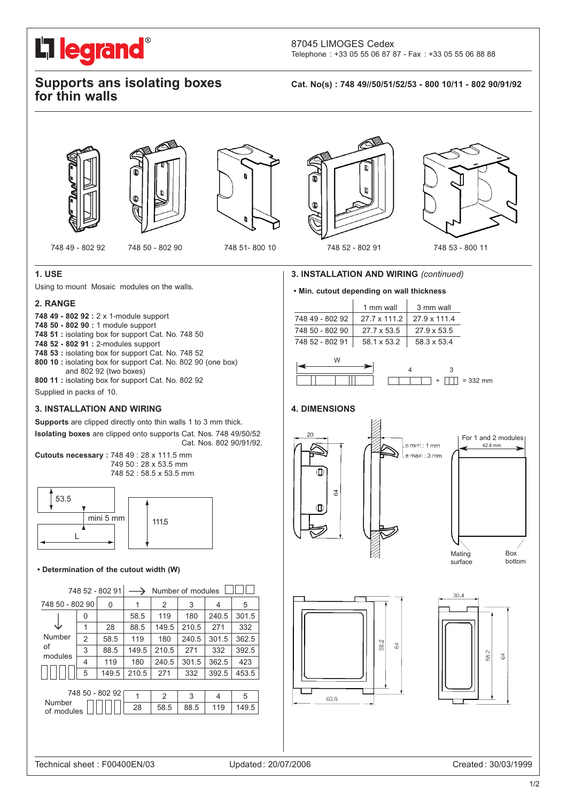# O **L'i legrand**

87045 LIMOGES Cedex Telephone : +33 05 55 06 87 87 - Fax : +33 05 55 06 88 88

### **Supports ans isolating boxes for thin walls**

**Cat. No(s) : 748 49//50/51/52/53 - 800 10/11 - 802 90/91/92**







Œ

 $\mathbf{0}$ 

748 49 - 802 92 748 50 - 802 90 748 51- 800 10 748 52 - 802 91 748 53 - 800 11

### **1. USE**

Using to mount Mosaic modules on the walls.

#### **2. RANGE**

**748 49 - 802 92 :** 2 x 1-module support

**748 50 - 802 90 :** 1 module support

- **748 51 :** isolating box for support Cat. No. 748 50
- **748 52 802 91 :** 2-modules support

**748 53 :** isolating box for support Cat. No. 748 52

- **800 10 :** isolating box for support Cat. No. 802 90 (one box) and 802 92 (two boxes)
- **800 11 :** isolating box for support Cat. No. 802 92

Supplied in packs of 10.

#### **3. INSTALLATION AND WIRING**

**Supports** are clipped directly onto thin walls 1 to 3 mm thick. **Isolating boxes** are clipped onto supports Cat. Nos. 748 49/50/52 Cat. Nos. 802 90/91/92.

**Cutouts necessary :** 748 49 : 28 x 111.5 mm 749 50 : 28 x 53.5 mm 748 52 : 58.5 x 53.5 mm



#### **• Determination of the cutout width (W)**

| 748 52 - 802 91                         |                | Number of modules |       |               |       |       |       |
|-----------------------------------------|----------------|-------------------|-------|---------------|-------|-------|-------|
| 748 50 - 802 90                         |                | 0                 |       | 2             | 3     | 4     | 5     |
| Number                                  | 0              |                   | 58.5  | 119           | 180   | 240.5 | 301.5 |
|                                         | 1              | 28                | 88.5  | 149.5         | 210.5 | 271   | 332   |
|                                         | $\overline{2}$ | 58.5              | 119   | 180           | 240.5 | 301.5 | 362.5 |
| of<br>modules                           | 3              | 88.5              | 149.5 | 210.5         | 271   | 332   | 392.5 |
|                                         | 4              | 119               | 180   | 240.5         | 301.5 | 362.5 | 423   |
|                                         | 5              | 149.5             | 210.5 | 271           | 332   | 392.5 | 453.5 |
|                                         |                |                   |       |               |       |       |       |
| 748 50 - 802 92<br>Number<br>of modules |                |                   | 1     | $\mathcal{P}$ | 3     | 4     | 5     |
|                                         |                |                   | 28    | 58.5          | 88.5  | 119   | 149.5 |
|                                         |                |                   |       |               |       |       |       |
|                                         |                |                   |       |               |       |       |       |
|                                         |                |                   |       |               |       |       |       |

#### **3. INSTALLATION AND WIRING** *(continued)*

#### **• Min. cutout depending on wall thickness**

|                 | 1 mm wall           | 3 mm wall          |
|-----------------|---------------------|--------------------|
| 748 49 - 802 92 | $27.7 \times 111.2$ | 27.9 x 111.4       |
| 748 50 - 802 90 | 27.7 x 53.5         | $27.9 \times 53.5$ |
| 748 52 - 802 91 | 58.1 x 53.2         | 58.3 x 53.4        |



#### **4. DIMENSIONS**